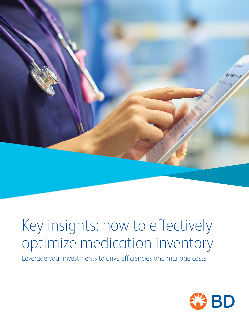

# Key insights: how to effectively optimize medication inventory

Leverage your investments to drive efficiencies and manage costs

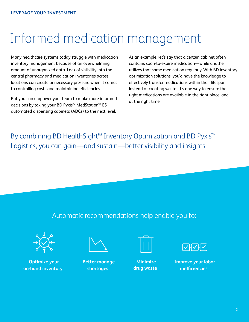## Informed medication management

Many healthcare systems today struggle with medication inventory management because of an overwhelming amount of unorganized data. Lack of visibility into the central pharmacy and medication inventories across locations can create unnecessary pressure when it comes to controlling costs and maintaining efficiencies.

But you can empower your team to make more informed decisions by taking your BD Pyxis™ MedStation™ ES automated dispensing cabinets (ADCs) to the next level.

As an example, let's say that a certain cabinet often contains soon-to-expire medication—while another utilizes that same medication regularly. With BD inventory optimization solutions, you'd have the knowledge to effectively transfer medications within their lifespan, instead of creating waste. It's one way to ensure the right medications are available in the right place, and at the right time.

By combining BD HealthSight™ Inventory Optimization and BD Pyxis™ Logistics, you can gain—and sustain—better visibility and insights.

### Automatic recommendations help enable you to:



**Optimize your on-hand inventory** 



**Better manage shortages**



**Minimize drug waste** 



**Improve your labor inefficiencies**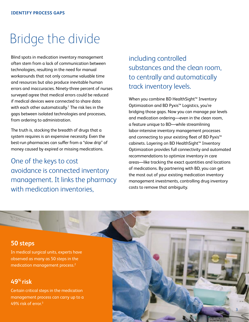### Bridge the divide

Blind spots in medication inventory management often stem from a lack of communication between technologies, resulting in the need for manual workarounds that not only consume valuable time and resources but also produce inevitable human errors and inaccuracies. Ninety-three percent of nurses surveyed agree that medical errors could be reduced if medical devices were connected to share data with each other automatically.<sup>1</sup> The risk lies in the gaps between isolated technologies and processes, from ordering to administration.

The truth is, stocking the breadth of drugs that a system requires is an expensive necessity. Even the best-run pharmacies can suffer from a "slow drip" of money caused by expired or missing medications.

One of the keys to cost avoidance is connected inventory management. It links the pharmacy with medication inventories.

including controlled substances and the clean room, to centrally and automatically track inventory levels.

When you combine BD HealthSight™ Inventory Optimization and BD Pyxis™ Logistics, you're bridging those gaps. Now you can manage par levels and medication ordering—even in the clean room, a feature unique to BD—while streamlining labor-intensive inventory management processes and connecting to your existing fleet of BD Pyxis™ cabinets. Layering on BD HealthSight™ Inventory Optimization provides full connectivity and automated recommendations to optimize inventory in care areas—like tracking the exact quantities and locations of medications. By partnering with BD, you can get the most out of your existing medication inventory management investments, controlling drug inventory costs to remove that ambiguity.

#### **50 steps**

In medical surgical units, experts have observed as many as 50 steps in the medication management process.2

### **49% risk**

Certain critical steps in the medication management process can carry up to a 49% risk of error.3

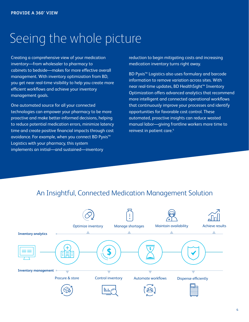## Seeing the whole picture

Creating a comprehensive view of your medication inventory—from wholesaler to pharmacy to cabinets to bedside—makes for more effective overall management. With inventory optimization from BD, you get near real-time visibility to help you create more efficient workflows and achieve your inventory management goals.

One automated source for all your connected technologies can empower your pharmacy to be more proactive and make better-informed decisions, helping to reduce potential medication errors, minimize latency time and create positive financial impacts through cost avoidance. For example, when you connect BD Pyxis™ Logistics with your pharmacy, this system implements an initial—and sustained—inventory

reduction to begin mitigating costs and increasing medication inventory turns right away.

BD Pyxis™ Logistics also uses formulary and barcode information to remove variation across sites. With near real-time updates, BD HealthSight™ Inventory Optimization offers advanced analytics that recommend more intelligent and connected operational workflows that continuously improve your processes and identify opportunities for favorable cost control. These automated, proactive insights can reduce wasted manual labor—giving frontline workers more time to reinvest in patient care.4

### An Insightful, Connected Medication Management Solution

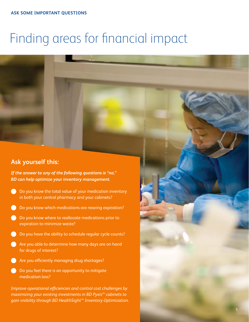## Finding areas for financial impact

### **Ask yourself this:**

*If the answer to any of the following questions is "no," BD can help optimize your inventory management.* 

- **b** Do you know the total value of your medication inventory in both your central pharmacy and your cabinets?
- **b** Do you know which medications are nearing expiration?
- **b** Do you know where to reallocate medications prior to expiration to minimize waste?
- **b** Do you have the ability to schedule regular cycle counts?
- **Are you able to determine how many days are on hand** for drugs of interest?
- **Are you efficiently managing drug shortages?**
- Do you feel there is an opportunity to mitigate medication loss?

*Improve operational efficiencies and control cost challenges by maximizing your existing investments in BD Pyxis™ cabinets to gain visibility through BD HealthSight™ Inventory Optimization.*